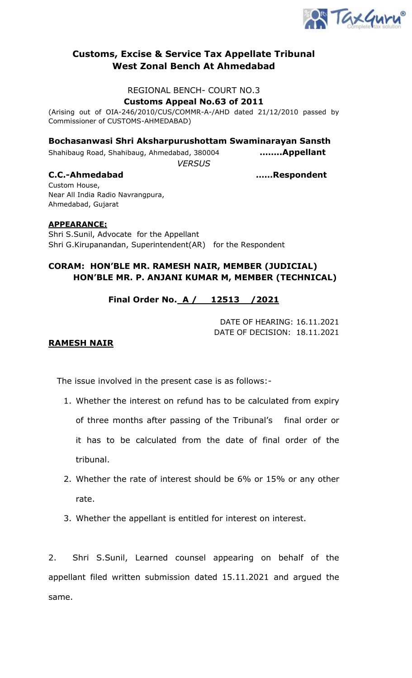

## **Customs, Excise & Service Tax Appellate Tribunal West Zonal Bench At Ahmedabad**

#### REGIONAL BENCH- COURT NO.3

**Customs Appeal No.63 of 2011**

(Arising out of OIA-246/2010/CUS/COMMR-A-/AHD dated 21/12/2010 passed by Commissioner of CUSTOMS-AHMEDABAD)

**Bochasanwasi Shri Aksharpurushottam Swaminarayan Sansth** 

Shahibaug Road, Shahibaug, Ahmedabad, 380004 **……..Appellant**

*VERSUS*

**C.C.-Ahmedabad ……Respondent**

Custom House, Near All India Radio Navrangpura, Ahmedabad, Gujarat

#### **APPEARANCE:**

Shri S.Sunil, Advocate for the Appellant Shri G.Kirupanandan, Superintendent(AR) for the Respondent

## **CORAM: HON'BLE MR. RAMESH NAIR, MEMBER (JUDICIAL) HON'BLE MR. P. ANJANI KUMAR M, MEMBER (TECHNICAL)**

# **Final Order No. A / 12513 /2021**

DATE OF HEARING: 16.11.2021 DATE OF DECISION: 18.11.2021

#### **RAMESH NAIR**

The issue involved in the present case is as follows:-

- 1. Whether the interest on refund has to be calculated from expiry of three months after passing of the Tribunal's final order or it has to be calculated from the date of final order of the tribunal.
- 2. Whether the rate of interest should be 6% or 15% or any other rate.
- 3. Whether the appellant is entitled for interest on interest.

2. Shri S.Sunil, Learned counsel appearing on behalf of the appellant filed written submission dated 15.11.2021 and argued the same.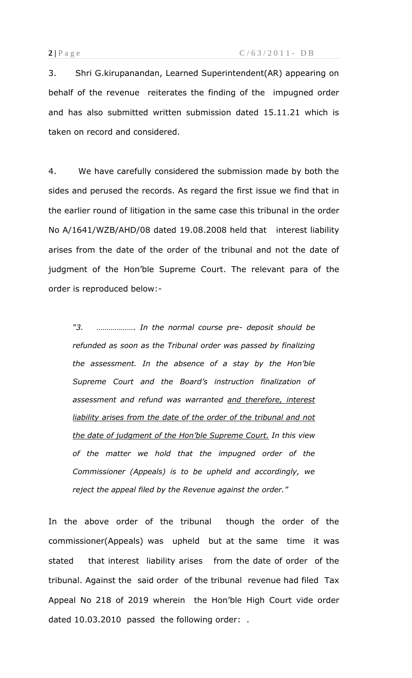3. Shri G.kirupanandan, Learned Superintendent(AR) appearing on behalf of the revenue reiterates the finding of the impugned order and has also submitted written submission dated 15.11.21 which is taken on record and considered.

4. We have carefully considered the submission made by both the sides and perused the records. As regard the first issue we find that in the earlier round of litigation in the same case this tribunal in the order No A/1641/WZB/AHD/08 dated 19.08.2008 held that interest liability arises from the date of the order of the tribunal and not the date of judgment of the Hon'ble Supreme Court. The relevant para of the order is reproduced below:-

*"3. ………………. In the normal course pre- deposit should be refunded as soon as the Tribunal order was passed by finalizing the assessment. In the absence of a stay by the Hon'ble Supreme Court and the Board's instruction finalization of assessment and refund was warranted and therefore, interest liability arises from the date of the order of the tribunal and not the date of judgment of the Hon'ble Supreme Court. In this view of the matter we hold that the impugned order of the Commissioner (Appeals) is to be upheld and accordingly, we reject the appeal filed by the Revenue against the order."*

In the above order of the tribunal though the order of the commissioner(Appeals) was upheld but at the same time it was stated that interest liability arises from the date of order of the tribunal. Against the said order of the tribunal revenue had filed Tax Appeal No 218 of 2019 wherein the Hon'ble High Court vide order dated 10.03.2010 passed the following order: .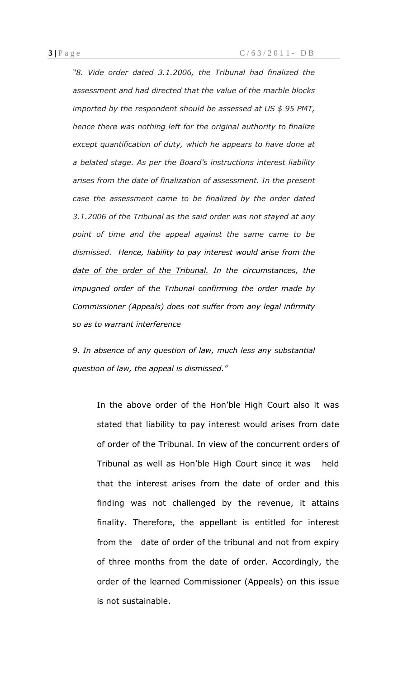*"8. Vide order dated 3.1.2006, the Tribunal had finalized the assessment and had directed that the value of the marble blocks imported by the respondent should be assessed at US \$ 95 PMT, hence there was nothing left for the original authority to finalize except quantification of duty, which he appears to have done at a belated stage. As per the Board's instructions interest liability arises from the date of finalization of assessment. In the present case the assessment came to be finalized by the order dated 3.1.2006 of the Tribunal as the said order was not stayed at any point of time and the appeal against the same came to be dismissed. Hence, liability to pay interest would arise from the date of the order of the Tribunal. In the circumstances, the impugned order of the Tribunal confirming the order made by Commissioner (Appeals) does not suffer from any legal infirmity so as to warrant interference*

*9. In absence of any question of law, much less any substantial question of law, the appeal is dismissed."*

In the above order of the Hon'ble High Court also it was stated that liability to pay interest would arises from date of order of the Tribunal. In view of the concurrent orders of Tribunal as well as Hon'ble High Court since it was held that the interest arises from the date of order and this finding was not challenged by the revenue, it attains finality. Therefore, the appellant is entitled for interest from the date of order of the tribunal and not from expiry of three months from the date of order. Accordingly, the order of the learned Commissioner (Appeals) on this issue is not sustainable.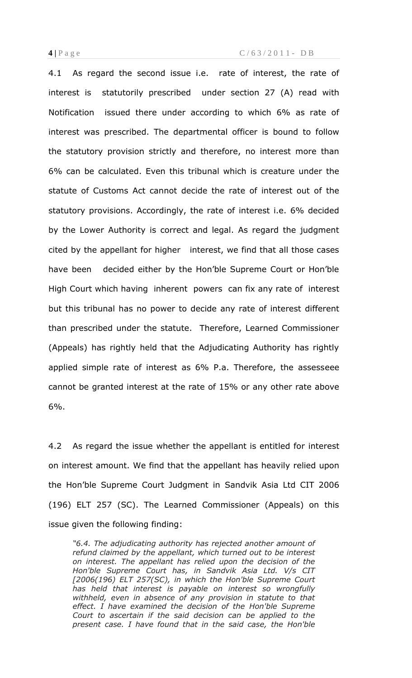4.1 As regard the second issue i.e. rate of interest, the rate of interest is statutorily prescribed under section 27 (A) read with Notification issued there under according to which 6% as rate of interest was prescribed. The departmental officer is bound to follow the statutory provision strictly and therefore, no interest more than 6% can be calculated. Even this tribunal which is creature under the statute of Customs Act cannot decide the rate of interest out of the statutory provisions. Accordingly, the rate of interest i.e. 6% decided by the Lower Authority is correct and legal. As regard the judgment cited by the appellant for higher interest, we find that all those cases have been decided either by the Hon'ble Supreme Court or Hon'ble High Court which having inherent powers can fix any rate of interest but this tribunal has no power to decide any rate of interest different than prescribed under the statute. Therefore, Learned Commissioner (Appeals) has rightly held that the Adjudicating Authority has rightly applied simple rate of interest as 6% P.a. Therefore, the assesseee cannot be granted interest at the rate of 15% or any other rate above 6%.

4.2 As regard the issue whether the appellant is entitled for interest on interest amount. We find that the appellant has heavily relied upon the Hon'ble Supreme Court Judgment in Sandvik Asia Ltd CIT 2006 (196) ELT 257 (SC). The Learned Commissioner (Appeals) on this issue given the following finding:

*"6.4. The adjudicating authority has rejected another amount of refund claimed by the appellant, which turned out to be interest on interest. The appellant has relied upon the decision of the Hon'ble Supreme Court has, in Sandvik Asia Ltd. V/s CIT [2006(196) ELT 257(SC), in which the Hon'ble Supreme Court has held that interest is payable on interest so wrongfully withheld, even in absence of any provision in statute to that effect. I have examined the decision of the Hon'ble Supreme Court to ascertain if the said decision can be applied to the present case. I have found that in the said case, the Hon'ble*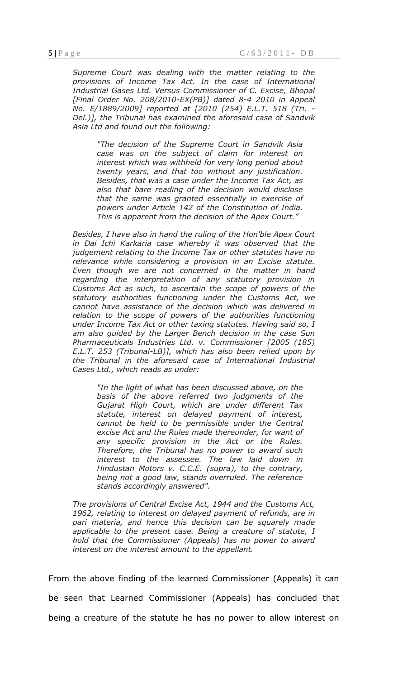*Supreme Court was dealing with the matter relating to the provisions of Income Tax Act. In the case of International Industrial Gases Ltd. Versus Commissioner of C. Excise, Bhopal [Final Order No. 208/2010-EX(PB)] dated 8-4 2010 in Appeal No. E/1889/2009] reported at [2010 (254) E.L.T. 518 (Tri. - Del.)], the Tribunal has examined the aforesaid case of Sandvik Asia Ltd and found out the following:*

*"The decision of the Supreme Court in Sandvik Asia case was on the subject of claim for interest on interest which was withheld for very long period about twenty years, and that too without any justification. Besides, that was a case under the Income Tax Act, as also that bare reading of the decision would disclose that the same was granted essentially in exercise of powers under Article 142 of the Constitution of India. This is apparent from the decision of the Apex Court."*

*Besides, I have also in hand the ruling of the Hon'ble Apex Court in Dai Ichi Karkaria case whereby it was observed that the judgement relating to the Income Tax or other statutes have no relevance while considering a provision in an Excise statute. Even though we are not concerned in the matter in hand regarding the interpretation of any statutory provision in Customs Act as such, to ascertain the scope of powers of the statutory authorities functioning under the Customs Act, we cannot have assistance of the decision which was delivered in relation to the scope of powers of the authorities functioning under Income Tax Act or other taxing statutes. Having said so, I am also guided by the Larger Bench decision in the case Sun Pharmaceuticals Industries Ltd. v. Commissioner [2005 (185) E.L.T. 253 (Tribunal-LB)], which has also been relied upon by the Tribunal in the aforesaid case of International Industrial Cases Ltd., which reads as under:*

*"In the light of what has been discussed above, on the basis of the above referred two judgments of the Gujarat High Court, which are under different Tax statute, interest on delayed payment of interest, cannot be held to be permissible under the Central excise Act and the Rules made thereunder, for want of any specific provision in the Act or the Rules. Therefore, the Tribunal has no power to award such interest to the assessee. The law laid down in Hindustan Motors v. C.C.E. (supra), to the contrary, being not a good law, stands overruled. The reference stands accordingly answered".*

*The provisions of Central Excise Act, 1944 and the Customs Act, 1962, relating to interest on delayed payment of refunds, are in pari materia, and hence this decision can be squarely made applicable to the present case. Being a creature of statute, I hold that the Commissioner (Appeals) has no power to award interest on the interest amount to the appellant.*

From the above finding of the learned Commissioner (Appeals) it can be seen that Learned Commissioner (Appeals) has concluded that being a creature of the statute he has no power to allow interest on